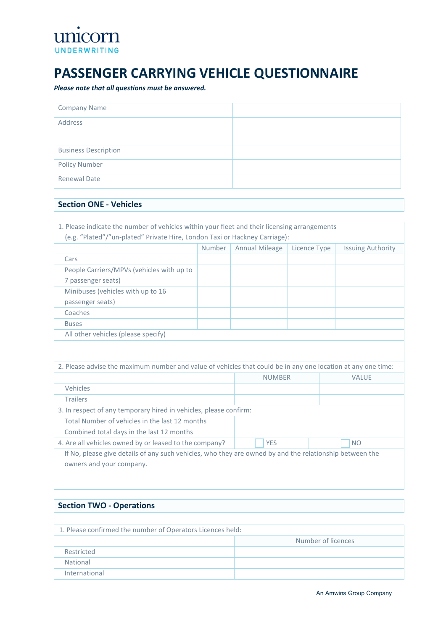

# **PASSENGER CARRYING VEHICLE QUESTIONNAIRE**

*Please note that all questions must be answered.*

| <b>Company Name</b>         |  |
|-----------------------------|--|
| Address                     |  |
| <b>Business Description</b> |  |
| Policy Number               |  |
| <b>Renewal Date</b>         |  |

#### **Section ONE - Vehicles**

| 1. Please indicate the number of vehicles within your fleet and their licensing arrangements                 |        |                       |              |                          |
|--------------------------------------------------------------------------------------------------------------|--------|-----------------------|--------------|--------------------------|
| (e.g. "Plated"/"un-plated" Private Hire, London Taxi or Hackney Carriage):                                   |        |                       |              |                          |
|                                                                                                              | Number | <b>Annual Mileage</b> | Licence Type | <b>Issuing Authority</b> |
| Cars                                                                                                         |        |                       |              |                          |
| People Carriers/MPVs (vehicles with up to                                                                    |        |                       |              |                          |
| 7 passenger seats)                                                                                           |        |                       |              |                          |
| Minibuses (vehicles with up to 16                                                                            |        |                       |              |                          |
| passenger seats)                                                                                             |        |                       |              |                          |
| Coaches                                                                                                      |        |                       |              |                          |
| <b>Buses</b>                                                                                                 |        |                       |              |                          |
| All other vehicles (please specify)                                                                          |        |                       |              |                          |
|                                                                                                              |        |                       |              |                          |
| 2. Please advise the maximum number and value of vehicles that could be in any one location at any one time: |        |                       |              |                          |
|                                                                                                              |        | <b>NUMBER</b>         |              | <b>VALUE</b>             |
| Vehicles                                                                                                     |        |                       |              |                          |
| <b>Trailers</b>                                                                                              |        |                       |              |                          |
| 3. In respect of any temporary hired in vehicles, please confirm:                                            |        |                       |              |                          |
| Total Number of vehicles in the last 12 months                                                               |        |                       |              |                          |
| Combined total days in the last 12 months                                                                    |        |                       |              |                          |
| 4. Are all vehicles owned by or leased to the company?                                                       |        | <b>YES</b>            |              | <b>NO</b>                |
| If No, please give details of any such vehicles, who they are owned by and the relationship between the      |        |                       |              |                          |
| owners and your company.                                                                                     |        |                       |              |                          |
|                                                                                                              |        |                       |              |                          |
|                                                                                                              |        |                       |              |                          |

# **Section TWO - Operations**

| 1. Please confirmed the number of Operators Licences held: |                    |  |  |
|------------------------------------------------------------|--------------------|--|--|
|                                                            | Number of licences |  |  |
| Restricted                                                 |                    |  |  |
| National                                                   |                    |  |  |
| International                                              |                    |  |  |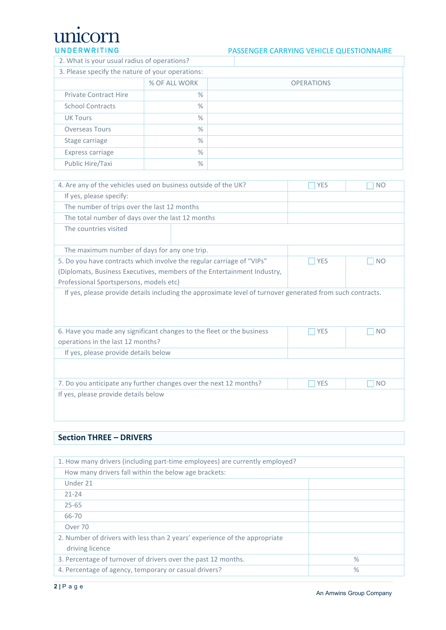unicorn UNDERWRITING

## PASSENGER CARRYING VEHICLE QUESTIONNAIRE

| 2. What is your usual radius of operations? |  |  |
|---------------------------------------------|--|--|
|---------------------------------------------|--|--|

| 3. Please specify the nature of your operations: |               |                   |  |  |
|--------------------------------------------------|---------------|-------------------|--|--|
|                                                  | % OF ALL WORK | <b>OPERATIONS</b> |  |  |
| <b>Private Contract Hire</b>                     | $\%$          |                   |  |  |
| <b>School Contracts</b>                          | %             |                   |  |  |
| <b>UK Tours</b>                                  | %             |                   |  |  |
| <b>Overseas Tours</b>                            | $\%$          |                   |  |  |
| Stage carriage                                   | %             |                   |  |  |
| Express carriage                                 | $\%$          |                   |  |  |
| Public Hire/Taxi                                 | %             |                   |  |  |

| 4. Are any of the vehicles used on business outside of the UK?                                            | <b>YES</b> | <b>NO</b> |  |  |  |
|-----------------------------------------------------------------------------------------------------------|------------|-----------|--|--|--|
| If yes, please specify:                                                                                   |            |           |  |  |  |
| The number of trips over the last 12 months                                                               |            |           |  |  |  |
| The total number of days over the last 12 months                                                          |            |           |  |  |  |
| The countries visited                                                                                     |            |           |  |  |  |
| The maximum number of days for any one trip.                                                              |            |           |  |  |  |
| 5. Do you have contracts which involve the regular carriage of "VIPs"                                     | <b>YES</b> | <b>NO</b> |  |  |  |
| (Diplomats, Business Executives, members of the Entertainment Industry,                                   |            |           |  |  |  |
| Professional Sportspersons, models etc)                                                                   |            |           |  |  |  |
| If yes, please provide details including the approximate level of turnover generated from such contracts. |            |           |  |  |  |
| 6. Have you made any significant changes to the fleet or the business                                     | <b>YES</b> | <b>NO</b> |  |  |  |
| operations in the last 12 months?                                                                         |            |           |  |  |  |
| If yes, please provide details below                                                                      |            |           |  |  |  |
|                                                                                                           |            |           |  |  |  |
| 7. Do you anticipate any further changes over the next 12 months?                                         | <b>YES</b> | <b>NO</b> |  |  |  |
| If yes, please provide details below                                                                      |            |           |  |  |  |

#### **Section THREE – DRIVERS**

| 1. How many drivers (including part-time employees) are currently employed?                   |               |  |
|-----------------------------------------------------------------------------------------------|---------------|--|
| How many drivers fall within the below age brackets:                                          |               |  |
| Under 21                                                                                      |               |  |
| $21 - 24$                                                                                     |               |  |
| $25 - 65$                                                                                     |               |  |
| 66-70                                                                                         |               |  |
| Over 70                                                                                       |               |  |
| 2. Number of drivers with less than 2 years' experience of the appropriate<br>driving licence |               |  |
| 3. Percentage of turnover of drivers over the past 12 months.                                 | $\frac{9}{6}$ |  |
| 4. Percentage of agency, temporary or casual drivers?                                         | $\%$          |  |
|                                                                                               |               |  |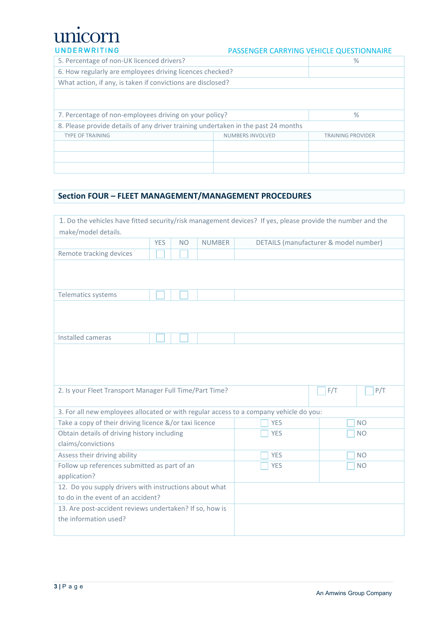

#### PASSENGER CARRYING VEHICLE QUESTIONNAIRE

| 5. Percentage of non-UK licenced drivers?                                         | $\%$             |                          |  |  |
|-----------------------------------------------------------------------------------|------------------|--------------------------|--|--|
| 6. How regularly are employees driving licences checked?                          |                  |                          |  |  |
| What action, if any, is taken if convictions are disclosed?                       |                  |                          |  |  |
|                                                                                   |                  |                          |  |  |
| 7. Percentage of non-employees driving on your policy?<br>$\%$                    |                  |                          |  |  |
| 8. Please provide details of any driver training undertaken in the past 24 months |                  |                          |  |  |
| <b>TYPE OF TRAINING</b>                                                           | NUMBERS INVOLVED | <b>TRAINING PROVIDER</b> |  |  |
|                                                                                   |                  |                          |  |  |
|                                                                                   |                  |                          |  |  |
|                                                                                   |                  |                          |  |  |

## **Section FOUR – FLEET MANAGEMENT/MANAGEMENT PROCEDURES**

| 1. Do the vehicles have fitted security/risk management devices? If yes, please provide the number and the |            |            |               |           |                                       |
|------------------------------------------------------------------------------------------------------------|------------|------------|---------------|-----------|---------------------------------------|
| make/model details.                                                                                        |            |            |               |           |                                       |
|                                                                                                            | <b>YES</b> | <b>NO</b>  | <b>NUMBER</b> |           | DETAILS (manufacturer & model number) |
| Remote tracking devices                                                                                    |            |            |               |           |                                       |
|                                                                                                            |            |            |               |           |                                       |
|                                                                                                            |            |            |               |           |                                       |
|                                                                                                            |            |            |               |           |                                       |
| <b>Telematics systems</b>                                                                                  |            |            |               |           |                                       |
|                                                                                                            |            |            |               |           |                                       |
|                                                                                                            |            |            |               |           |                                       |
| Installed cameras                                                                                          |            |            |               |           |                                       |
|                                                                                                            |            |            |               |           |                                       |
|                                                                                                            |            |            |               |           |                                       |
|                                                                                                            |            |            |               |           |                                       |
|                                                                                                            |            |            |               |           |                                       |
| 2. Is your Fleet Transport Manager Full Time/Part Time?                                                    |            |            | F/T<br>P/T    |           |                                       |
|                                                                                                            |            |            |               |           |                                       |
| 3. For all new employees allocated or with regular access to a company vehicle do you:                     |            |            |               |           |                                       |
| Take a copy of their driving licence &/or taxi licence                                                     |            | <b>YES</b> | <b>NO</b>     |           |                                       |
| Obtain details of driving history including                                                                |            |            | <b>YES</b>    | <b>NO</b> |                                       |
| claims/convictions                                                                                         |            |            |               |           |                                       |
| Assess their driving ability                                                                               |            | <b>YES</b> | <b>NO</b>     |           |                                       |
| Follow up references submitted as part of an                                                               |            | <b>YES</b> | <b>NO</b>     |           |                                       |
| application?                                                                                               |            |            |               |           |                                       |
| 12. Do you supply drivers with instructions about what                                                     |            |            |               |           |                                       |
| to do in the event of an accident?                                                                         |            |            |               |           |                                       |
| 13. Are post-accident reviews undertaken? If so, how is                                                    |            |            |               |           |                                       |
| the information used?                                                                                      |            |            |               |           |                                       |
|                                                                                                            |            |            |               |           |                                       |